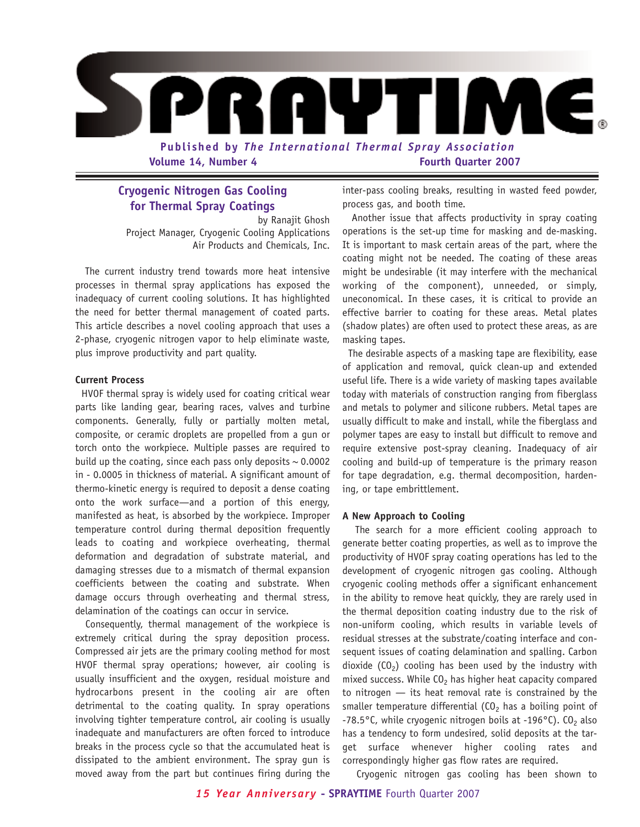

## **Cryogenic Nitrogen Gas Cooling for Thermal Spray Coatings**

by Ranajit Ghosh Project Manager, Cryogenic Cooling Applications Air Products and Chemicals, Inc.

The current industry trend towards more heat intensive processes in thermal spray applications has exposed the inadequacy of current cooling solutions. It has highlighted the need for better thermal management of coated parts. This article describes a novel cooling approach that uses a 2-phase, cryogenic nitrogen vapor to help eliminate waste, plus improve productivity and part quality.

## **Current Process**

HVOF thermal spray is widely used for coating critical wear parts like landing gear, bearing races, valves and turbine components. Generally, fully or partially molten metal, composite, or ceramic droplets are propelled from a gun or torch onto the workpiece. Multiple passes are required to build up the coating, since each pass only deposits  $\sim$  0.0002 in - 0.0005 in thickness of material. A significant amount of thermo-kinetic energy is required to deposit a dense coating onto the work surface—and a portion of this energy, manifested as heat, is absorbed by the workpiece. Improper temperature control during thermal deposition frequently leads to coating and workpiece overheating, thermal deformation and degradation of substrate material, and damaging stresses due to a mismatch of thermal expansion coefficients between the coating and substrate. When damage occurs through overheating and thermal stress, delamination of the coatings can occur in service.

Consequently, thermal management of the workpiece is extremely critical during the spray deposition process. Compressed air jets are the primary cooling method for most HVOF thermal spray operations; however, air cooling is usually insufficient and the oxygen, residual moisture and hydrocarbons present in the cooling air are often detrimental to the coating quality. In spray operations involving tighter temperature control, air cooling is usually inadequate and manufacturers are often forced to introduce breaks in the process cycle so that the accumulated heat is dissipated to the ambient environment. The spray gun is moved away from the part but continues firing during the

inter-pass cooling breaks, resulting in wasted feed powder, process gas, and booth time.

Another issue that affects productivity in spray coating operations is the set-up time for masking and de-masking. It is important to mask certain areas of the part, where the coating might not be needed. The coating of these areas might be undesirable (it may interfere with the mechanical working of the component), unneeded, or simply, uneconomical. In these cases, it is critical to provide an effective barrier to coating for these areas. Metal plates (shadow plates) are often used to protect these areas, as are masking tapes.

The desirable aspects of a masking tape are flexibility, ease of application and removal, quick clean-up and extended useful life. There is a wide variety of masking tapes available today with materials of construction ranging from fiberglass and metals to polymer and silicone rubbers. Metal tapes are usually difficult to make and install, while the fiberglass and polymer tapes are easy to install but difficult to remove and require extensive post-spray cleaning. Inadequacy of air cooling and build-up of temperature is the primary reason for tape degradation, e.g. thermal decomposition, hardening, or tape embrittlement.

## **A New Approach to Cooling**

The search for a more efficient cooling approach to generate better coating properties, as well as to improve the productivity of HVOF spray coating operations has led to the development of cryogenic nitrogen gas cooling. Although cryogenic cooling methods offer a significant enhancement in the ability to remove heat quickly, they are rarely used in the thermal deposition coating industry due to the risk of non-uniform cooling, which results in variable levels of residual stresses at the substrate/coating interface and consequent issues of coating delamination and spalling. Carbon dioxide  $(CO<sub>2</sub>)$  cooling has been used by the industry with mixed success. While  $CO<sub>2</sub>$  has higher heat capacity compared to nitrogen — its heat removal rate is constrained by the smaller temperature differential  $(CO<sub>2</sub>)$  has a boiling point of -78.5°C, while cryogenic nitrogen boils at -196°C). CO<sub>2</sub> also has a tendency to form undesired, solid deposits at the target surface whenever higher cooling rates and correspondingly higher gas flow rates are required.

Cryogenic nitrogen gas cooling has been shown to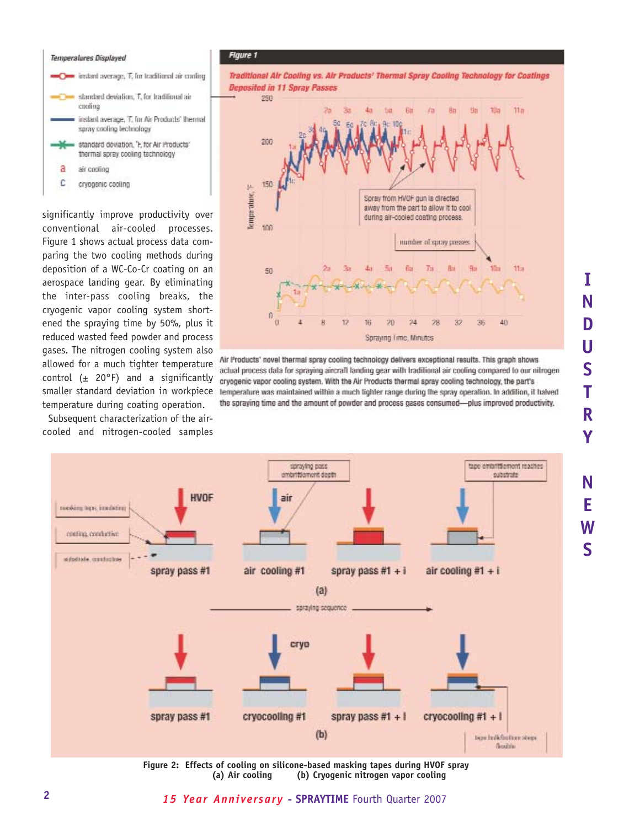## Temperatures Displayed O instant average, T, for traditional air cooling standard deviation, T, for traditional air cuoling inslant average, 'T, for Air Products' themsal spray cooling technology standard deviation, 'F, for Air Products' thermal spray cooling technology a air cooling C cryogenic cooling

significantly improve productivity over conventional air-cooled processes. Figure 1 shows actual process data comparing the two cooling methods during deposition of a WC-Co-Cr coating on an aerospace landing gear. By eliminating the inter-pass cooling breaks, the cryogenic vapor cooling system shortened the spraying time by 50%, plus it reduced wasted feed powder and process gases. The nitrogen cooling system also allowed for a much tighter temperature control  $(± 20°F)$  and a significantly smaller standard deviation in workpiece temperature during coating operation.

Subsequent characterization of the aircooled and nitrogen-cooled samples





Air Products' novel thermal spray cooling technology delivers exceptional results. This graph shows actual process data for spraying aircraft landing gear with traditional air cooling compared to our nitrogen cryogenic vapor cooling system. With the Air Products thermal spray cooling technology, the part's lemperature was maintained within a much tighter range during the spray operation. In addition, it halved the spraying time and the amount of powder and process gases consumed-plus improved productivity.



**Figure 2: Effects of cooling on silicone-based masking tapes during HVOF spray** (b) Cryogenic nitrogen vapor cooling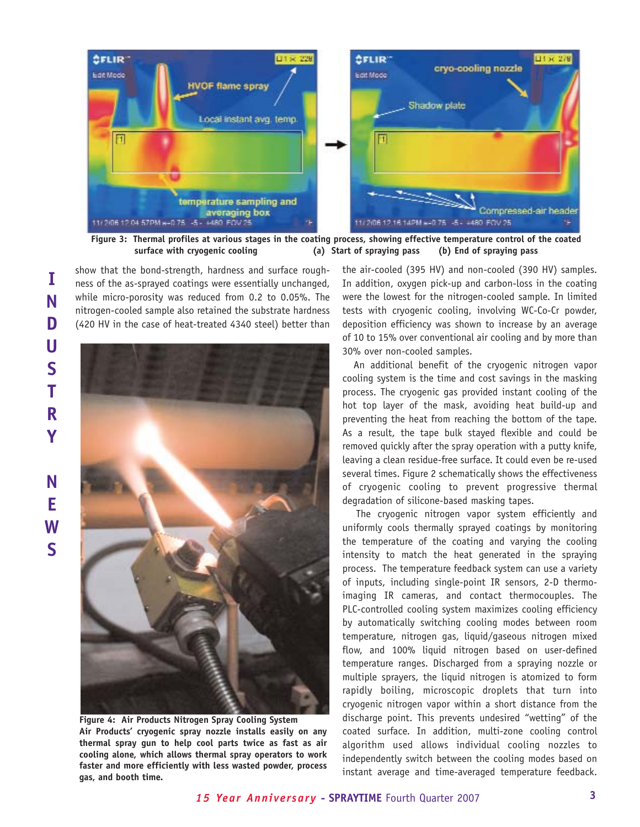

**Figure 3: Thermal profiles at various stages in the coating process, showing effective temperature control of the coated surface with cryogenic cooling (a) Start of spraying pass (b) End of spraying pass**

show that the bond-strength, hardness and surface roughness of the as-sprayed coatings were essentially unchanged, while micro-porosity was reduced from 0.2 to 0.05%. The nitrogen-cooled sample also retained the substrate hardness (420 HV in the case of heat-treated 4340 steel) better than



**Figure 4: Air Products Nitrogen Spray Cooling System Air Products' cryogenic spray nozzle installs easily on any thermal spray gun to help cool parts twice as fast as air cooling alone, which allows thermal spray operators to work faster and more efficiently with less wasted powder, process gas, and booth time.**

the air-cooled (395 HV) and non-cooled (390 HV) samples. In addition, oxygen pick-up and carbon-loss in the coating were the lowest for the nitrogen-cooled sample. In limited tests with cryogenic cooling, involving WC-Co-Cr powder, deposition efficiency was shown to increase by an average of 10 to 15% over conventional air cooling and by more than 30% over non-cooled samples.

An additional benefit of the cryogenic nitrogen vapor cooling system is the time and cost savings in the masking process. The cryogenic gas provided instant cooling of the hot top layer of the mask, avoiding heat build-up and preventing the heat from reaching the bottom of the tape. As a result, the tape bulk stayed flexible and could be removed quickly after the spray operation with a putty knife, leaving a clean residue-free surface. It could even be re-used several times. Figure 2 schematically shows the effectiveness of cryogenic cooling to prevent progressive thermal degradation of silicone-based masking tapes.

The cryogenic nitrogen vapor system efficiently and uniformly cools thermally sprayed coatings by monitoring the temperature of the coating and varying the cooling intensity to match the heat generated in the spraying process. The temperature feedback system can use a variety of inputs, including single-point IR sensors, 2-D thermoimaging IR cameras, and contact thermocouples. The PLC-controlled cooling system maximizes cooling efficiency by automatically switching cooling modes between room temperature, nitrogen gas, liquid/gaseous nitrogen mixed flow, and 100% liquid nitrogen based on user-defined temperature ranges. Discharged from a spraying nozzle or multiple sprayers, the liquid nitrogen is atomized to form rapidly boiling, microscopic droplets that turn into cryogenic nitrogen vapor within a short distance from the discharge point. This prevents undesired "wetting" of the coated surface. In addition, multi-zone cooling control algorithm used allows individual cooling nozzles to independently switch between the cooling modes based on instant average and time-averaged temperature feedback.